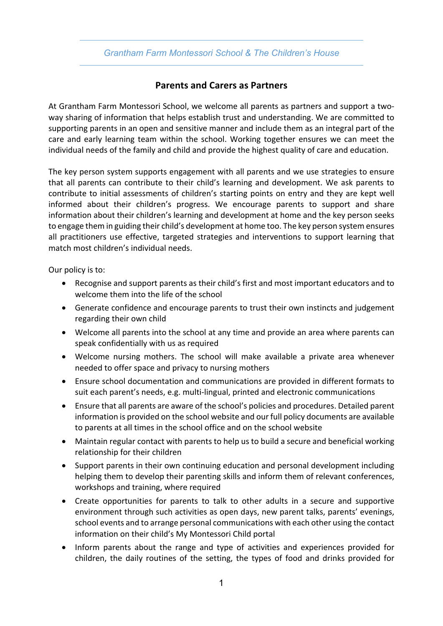## *Grantham Farm Montessori School & The Children's House*

## **Parents and Carers as Partners**

At Grantham Farm Montessori School, we welcome all parents as partners and support a twoway sharing of information that helps establish trust and understanding. We are committed to supporting parents in an open and sensitive manner and include them as an integral part of the care and early learning team within the school. Working together ensures we can meet the individual needs of the family and child and provide the highest quality of care and education.

The key person system supports engagement with all parents and we use strategies to ensure that all parents can contribute to their child's learning and development. We ask parents to contribute to initial assessments of children's starting points on entry and they are kept well informed about their children's progress. We encourage parents to support and share information about their children's learning and development at home and the key person seeks to engage them in guiding their child's development at home too. The key person system ensures all practitioners use effective, targeted strategies and interventions to support learning that match most children's individual needs.

Our policy is to:

- Recognise and support parents as their child's first and most important educators and to welcome them into the life of the school
- Generate confidence and encourage parents to trust their own instincts and judgement regarding their own child
- Welcome all parents into the school at any time and provide an area where parents can speak confidentially with us as required
- Welcome nursing mothers. The school will make available a private area whenever needed to offer space and privacy to nursing mothers
- Ensure school documentation and communications are provided in different formats to suit each parent's needs, e.g. multi-lingual, printed and electronic communications
- Ensure that all parents are aware of the school's policies and procedures. Detailed parent information is provided on the school website and our full policy documents are available to parents at all times in the school office and on the school website
- Maintain regular contact with parents to help us to build a secure and beneficial working relationship for their children
- Support parents in their own continuing education and personal development including helping them to develop their parenting skills and inform them of relevant conferences, workshops and training, where required
- Create opportunities for parents to talk to other adults in a secure and supportive environment through such activities as open days, new parent talks, parents' evenings, school events and to arrange personal communications with each other using the contact information on their child's My Montessori Child portal
- Inform parents about the range and type of activities and experiences provided for children, the daily routines of the setting, the types of food and drinks provided for